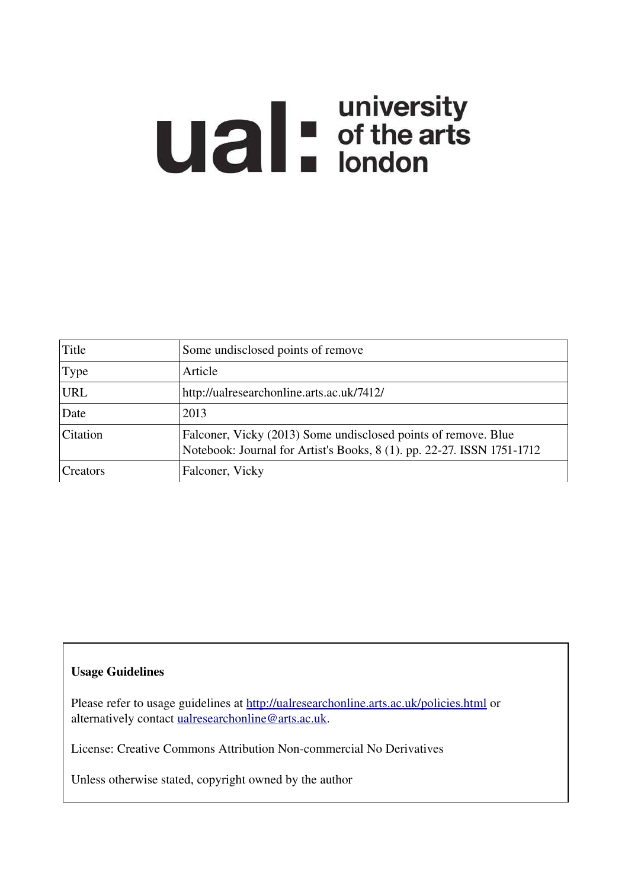# **Ual** For differents

| Title      | Some undisclosed points of remove                                                                                                        |
|------------|------------------------------------------------------------------------------------------------------------------------------------------|
| Type       | Article                                                                                                                                  |
| <b>URL</b> | http://ualresearchonline.arts.ac.uk/7412/                                                                                                |
| Date       | 2013                                                                                                                                     |
| Citation   | Falconer, Vicky (2013) Some undisclosed points of remove. Blue<br>Notebook: Journal for Artist's Books, 8 (1). pp. 22-27. ISSN 1751-1712 |
| Creators   | Falconer, Vicky                                                                                                                          |

# Usage Guidelines

Please refer to usage guidelines at<http://ualresearchonline.arts.ac.uk/policies.html>or alternatively contact [ualresearchonline@arts.ac.uk.](mailto:ualresearchonline@arts.ac.uk)

License: Creative Commons Attribution Non-commercial No Derivatives

Unless otherwise stated, copyright owned by the author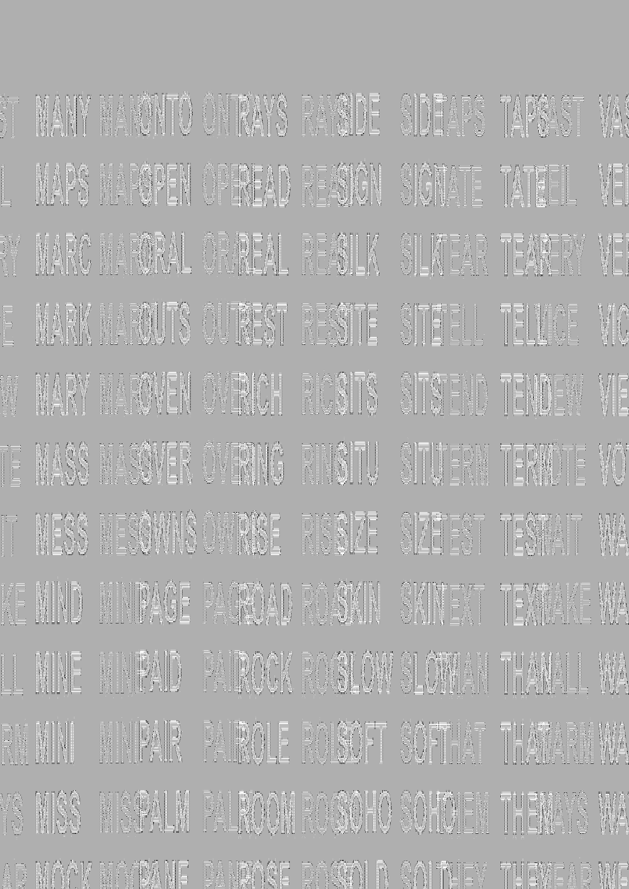| i<br>Heliotti<br>Viite |                                                   |  |  |  |
|------------------------|---------------------------------------------------|--|--|--|
|                        | MAYS LESSEN OFREAD RESSAULTS AND PATTEL           |  |  |  |
|                        | MARC LARANGEAL REALLY SILVEAR TEARERY             |  |  |  |
|                        |                                                   |  |  |  |
|                        | MARY HAWEN OVENOT RUSH OTS SITS TENDER VE         |  |  |  |
|                        | E MARS MARTER OF MARINE WARDEN AFFENTE VA         |  |  |  |
|                        |                                                   |  |  |  |
|                        | KE MIND HINDAY AND ROOM ON THE TEXTAL TEXTAL TIME |  |  |  |
|                        |                                                   |  |  |  |
|                        |                                                   |  |  |  |
|                        |                                                   |  |  |  |
|                        | AD MAAV HAJMANE DAWAR DAGAAI A SAITAEV TUEWEAD WE |  |  |  |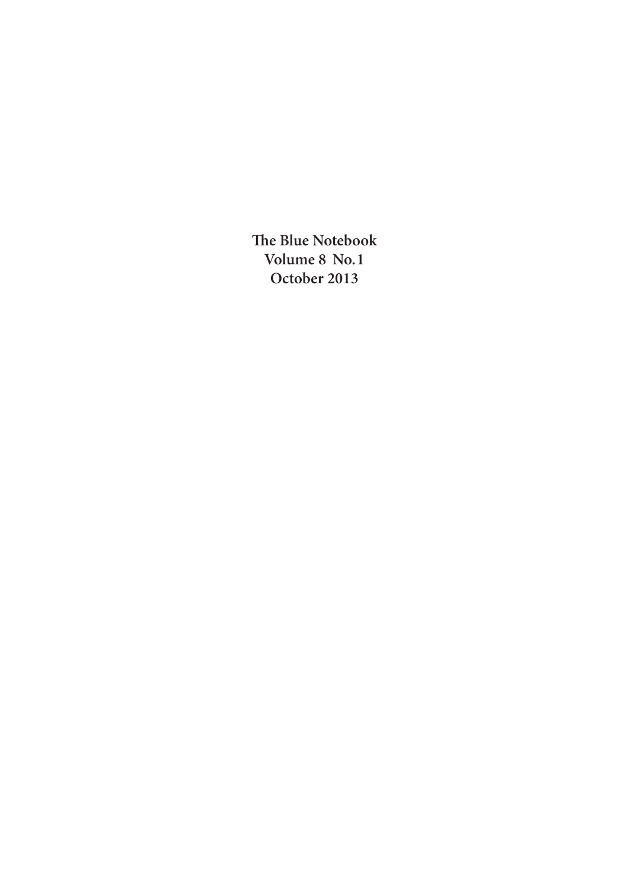**he Blue Notebook Volume 8 No.1 October 2013**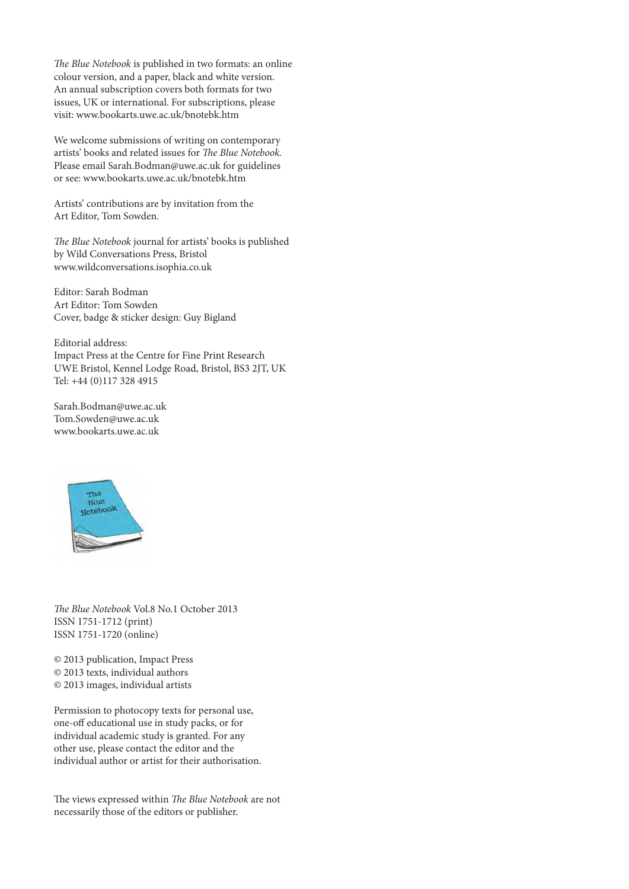The Blue Notebook is published in two formats: an online colour version, and a paper, black and white version. An annual subscription covers both formats for two issues, UK or international. For subscriptions, please visit: www.bookarts.uwe.ac.uk/bnotebk.htm

We welcome submissions of writing on contemporary artists' books and related issues for The Blue Notebook. Please email Sarah.Bodman@uwe.ac.uk for guidelines or see: www.bookarts.uwe.ac.uk/bnotebk.htm

Artists' contributions are by invitation from the Art Editor, Tom Sowden.

The Blue Notebook journal for artists' books is published by Wild Conversations Press, Bristol www.wildconversations.isophia.co.uk

Editor: Sarah Bodman Art Editor: Tom Sowden Cover, badge & sticker design: Guy Bigland

Editorial address: Impact Press at the Centre for Fine Print Research UWE Bristol, Kennel Lodge Road, Bristol, BS3 2JT, UK Tel: +44 (0)117 328 4915

Sarah.Bodman@uwe.ac.uk Tom.Sowden@uwe.ac.uk www.bookarts.uwe.ac.uk



The Blue Notebook Vol.8 No.1 October 2013 ISSN 1751-1712 (print) ISSN 1751-1720 (online)

© 2013 publication, Impact Press © 2013 texts, individual authors © 2013 images, individual artists

Permission to photocopy texts for personal use, one-off educational use in study packs, or for individual academic study is granted. For any other use, please contact the editor and the individual author or artist for their authorisation.

The views expressed within The Blue Notebook are not necessarily those of the editors or publisher.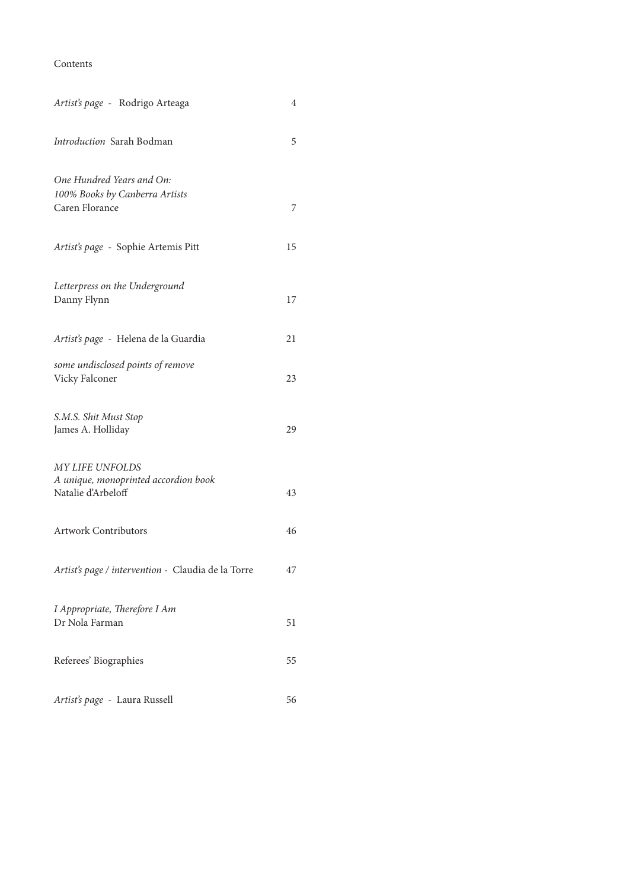Contents

| Artist's page - Rodrigo Arteaga                                                      | 4  |
|--------------------------------------------------------------------------------------|----|
| Introduction Sarah Bodman                                                            | 5  |
| One Hundred Years and On:<br>100% Books by Canberra Artists<br>Caren Florance        | 7  |
| Artist's page - Sophie Artemis Pitt                                                  | 15 |
| Letterpress on the Underground<br>Danny Flynn                                        | 17 |
| Artist's page - Helena de la Guardia                                                 | 21 |
| some undisclosed points of remove<br>Vicky Falconer                                  | 23 |
| S.M.S. Shit Must Stop<br>James A. Holliday                                           | 29 |
| <b>MY LIFE UNFOLDS</b><br>A unique, monoprinted accordion book<br>Natalie d'Arbeloff | 43 |
| <b>Artwork Contributors</b>                                                          | 46 |
| Artist's page / intervention - Claudia de la Torre                                   | 47 |
| I Appropriate, Therefore I Am<br>Dr Nola Farman                                      | 51 |
| Referees' Biographies                                                                | 55 |
| Artist's page - Laura Russell                                                        | 56 |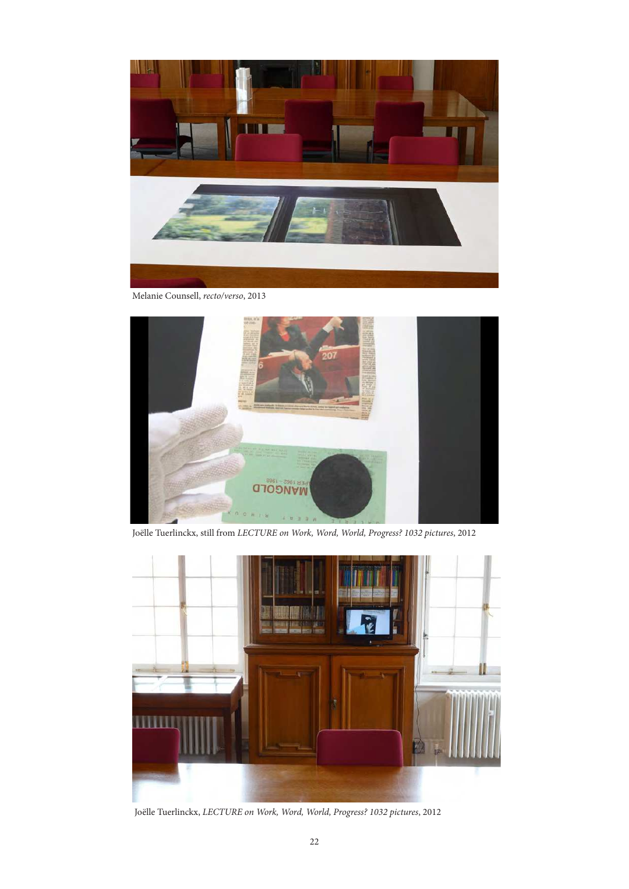

Melanie Counsell, recto/verso, 2013



Joëlle Tuerlinckx, still from LECTURE on Work, Word, World, Progress? 1032 pictures, 2012



Joëlle Tuerlinckx, LECTURE on Work, Word, World, Progress? 1032 pictures, 2012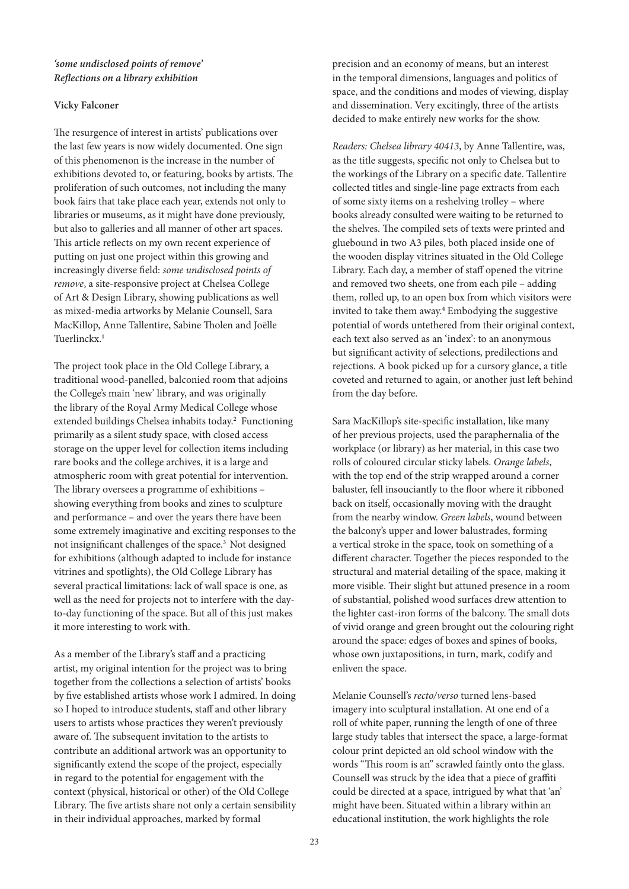## **'some undisclosed points of remove' Relections on a library exhibition**

## **Vicky Falconer**

he resurgence of interest in artists' publications over the last few years is now widely documented. One sign of this phenomenon is the increase in the number of exhibitions devoted to, or featuring, books by artists. The proliferation of such outcomes, not including the many book fairs that take place each year, extends not only to libraries or museums, as it might have done previously, but also to galleries and all manner of other art spaces. his article relects on my own recent experience of putting on just one project within this growing and increasingly diverse field: some undisclosed points of remove, a site-responsive project at Chelsea College of Art & Design Library, showing publications as well as mixed-media artworks by Melanie Counsell, Sara MacKillop, Anne Tallentire, Sabine Tholen and Joëlle Tuerlinckx.**<sup>1</sup>**

he project took place in the Old College Library, a traditional wood-panelled, balconied room that adjoins the College's main 'new' library, and was originally the library of the Royal Army Medical College whose extended buildings Chelsea inhabits today.**<sup>2</sup>** Functioning primarily as a silent study space, with closed access storage on the upper level for collection items including rare books and the college archives, it is a large and atmospheric room with great potential for intervention. he library oversees a programme of exhibitions – showing everything from books and zines to sculpture and performance – and over the years there have been some extremely imaginative and exciting responses to the not insigniicant challenges of the space.**<sup>3</sup>**Not designed for exhibitions (although adapted to include for instance vitrines and spotlights), the Old College Library has several practical limitations: lack of wall space is one, as well as the need for projects not to interfere with the dayto-day functioning of the space. But all of this just makes it more interesting to work with.

As a member of the Library's staff and a practicing artist, my original intention for the project was to bring together from the collections a selection of artists' books by five established artists whose work I admired. In doing so I hoped to introduce students, staff and other library users to artists whose practices they weren't previously aware of. The subsequent invitation to the artists to contribute an additional artwork was an opportunity to significantly extend the scope of the project, especially in regard to the potential for engagement with the context (physical, historical or other) of the Old College Library. The five artists share not only a certain sensibility in their individual approaches, marked by formal

precision and an economy of means, but an interest in the temporal dimensions, languages and politics of space, and the conditions and modes of viewing, display and dissemination. Very excitingly, three of the artists decided to make entirely new works for the show.

Readers: Chelsea library 40413, by Anne Tallentire, was, as the title suggests, specific not only to Chelsea but to the workings of the Library on a specific date. Tallentire collected titles and single-line page extracts from each of some sixty items on a reshelving trolley – where books already consulted were waiting to be returned to the shelves. The compiled sets of texts were printed and gluebound in two A3 piles, both placed inside one of the wooden display vitrines situated in the Old College Library. Each day, a member of staff opened the vitrine and removed two sheets, one from each pile – adding them, rolled up, to an open box from which visitors were invited to take them away.**<sup>4</sup>** Embodying the suggestive potential of words untethered from their original context, each text also served as an 'index': to an anonymous but significant activity of selections, predilections and rejections. A book picked up for a cursory glance, a title coveted and returned to again, or another just left behind from the day before.

Sara MacKillop's site-specific installation, like many of her previous projects, used the paraphernalia of the workplace (or library) as her material, in this case two rolls of coloured circular sticky labels. Orange labels, with the top end of the strip wrapped around a corner baluster, fell insouciantly to the loor where it ribboned back on itself, occasionally moving with the draught from the nearby window. Green labels, wound between the balcony's upper and lower balustrades, forming a vertical stroke in the space, took on something of a diferent character. Together the pieces responded to the structural and material detailing of the space, making it more visible. Their slight but attuned presence in a room of substantial, polished wood surfaces drew attention to the lighter cast-iron forms of the balcony. The small dots of vivid orange and green brought out the colouring right around the space: edges of boxes and spines of books, whose own juxtapositions, in turn, mark, codify and enliven the space.

Melanie Counsell's recto/verso turned lens-based imagery into sculptural installation. At one end of a roll of white paper, running the length of one of three large study tables that intersect the space, a large-format colour print depicted an old school window with the words "This room is an" scrawled faintly onto the glass. Counsell was struck by the idea that a piece of graffiti could be directed at a space, intrigued by what that 'an' might have been. Situated within a library within an educational institution, the work highlights the role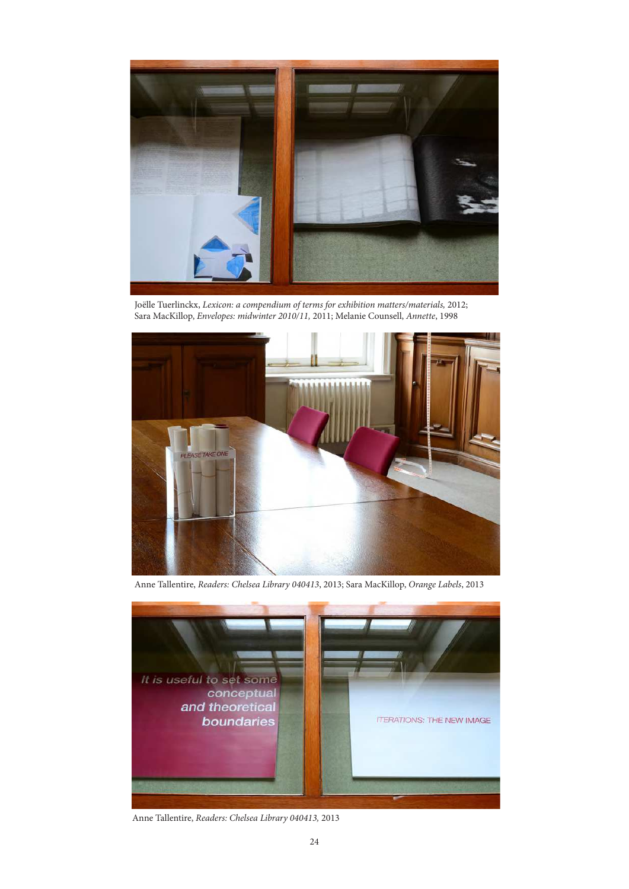

Joëlle Tuerlinckx, Lexicon: a compendium of terms for exhibition matters/materials, 2012; Sara MacKillop, Envelopes: midwinter 2010/11, 2011; Melanie Counsell, Annette, 1998



Anne Tallentire, Readers: Chelsea Library 040413, 2013; Sara MacKillop, Orange Labels, 2013



Anne Tallentire, Readers: Chelsea Library 040413, 2013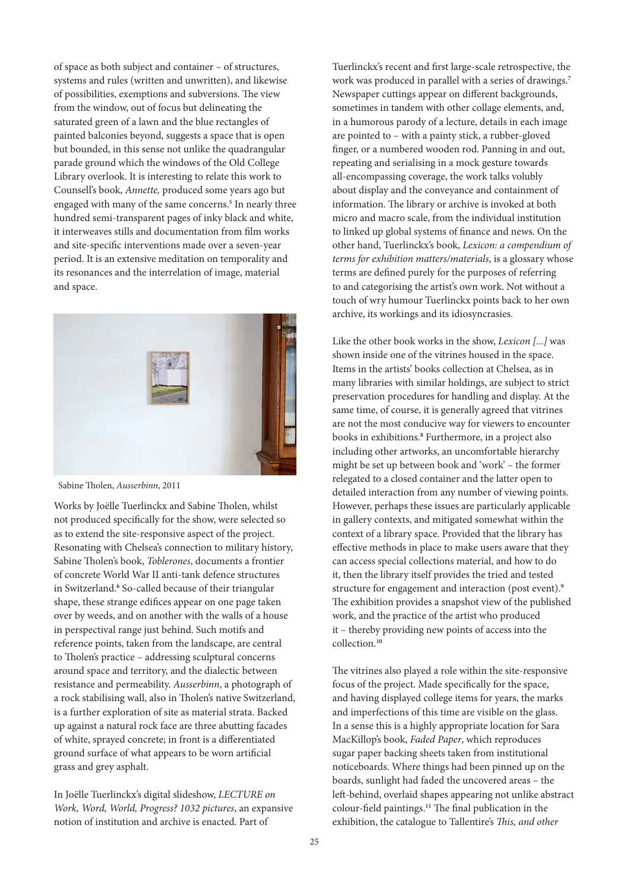of space as both subject and container – of structures, systems and rules (written and unwritten), and likewise of possibilities, exemptions and subversions. The view from the window, out of focus but delineating the saturated green of a lawn and the blue rectangles of painted balconies beyond, suggests a space that is open but bounded, in this sense not unlike the quadrangular parade ground which the windows of the Old College Library overlook. It is interesting to relate this work to Counsell's book, Annette, produced some years ago but engaged with many of the same concerns.**<sup>5</sup>** In nearly three hundred semi-transparent pages of inky black and white, it interweaves stills and documentation from film works and site-specific interventions made over a seven-year period. It is an extensive meditation on temporality and its resonances and the interrelation of image, material and space.



Sabine Tholen, Ausserbinn, 2011

Works by Joëlle Tuerlinckx and Sabine Tholen, whilst not produced specifically for the show, were selected so as to extend the site-responsive aspect of the project. Resonating with Chelsea's connection to military history, Sabine Tholen's book, Toblerones, documents a frontier of concrete World War II anti-tank defence structures in Switzerland.**<sup>6</sup>** So-called because of their triangular shape, these strange edifices appear on one page taken over by weeds, and on another with the walls of a house in perspectival range just behind. Such motifs and reference points, taken from the landscape, are central to Tholen's practice – addressing sculptural concerns around space and territory, and the dialectic between resistance and permeability. Ausserbinn, a photograph of a rock stabilising wall, also in Tholen's native Switzerland, is a further exploration of site as material strata. Backed up against a natural rock face are three abutting facades of white, sprayed concrete; in front is a diferentiated ground surface of what appears to be worn artificial grass and grey asphalt.

In Joëlle Tuerlinckx's digital slideshow, LECTURE on Work, Word, World, Progress? 1032 pictures, an expansive notion of institution and archive is enacted. Part of

Tuerlinckx's recent and first large-scale retrospective, the work was produced in parallel with a series of drawings.**<sup>7</sup>** Newspaper cuttings appear on diferent backgrounds, sometimes in tandem with other collage elements, and, in a humorous parody of a lecture, details in each image are pointed to – with a painty stick, a rubber-gloved finger, or a numbered wooden rod. Panning in and out, repeating and serialising in a mock gesture towards all-encompassing coverage, the work talks volubly about display and the conveyance and containment of information. The library or archive is invoked at both micro and macro scale, from the individual institution to linked up global systems of inance and news. On the other hand, Tuerlinckx's book, Lexicon: a compendium of terms for exhibition matters/materials, is a glossary whose terms are defined purely for the purposes of referring to and categorising the artist's own work. Not without a touch of wry humour Tuerlinckx points back to her own archive, its workings and its idiosyncrasies.

Like the other book works in the show, *Lexicon* [...] was shown inside one of the vitrines housed in the space. Items in the artists' books collection at Chelsea, as in many libraries with similar holdings, are subject to strict preservation procedures for handling and display. At the same time, of course, it is generally agreed that vitrines are not the most conducive way for viewers to encounter books in exhibitions.**<sup>8</sup>** Furthermore, in a project also including other artworks, an uncomfortable hierarchy might be set up between book and 'work' – the former relegated to a closed container and the latter open to detailed interaction from any number of viewing points. However, perhaps these issues are particularly applicable in gallery contexts, and mitigated somewhat within the context of a library space. Provided that the library has efective methods in place to make users aware that they can access special collections material, and how to do it, then the library itself provides the tried and tested structure for engagement and interaction (post event).**<sup>9</sup>** The exhibition provides a snapshot view of the published work, and the practice of the artist who produced it – thereby providing new points of access into the collection.**<sup>10</sup>**

The vitrines also played a role within the site-responsive focus of the project. Made specifically for the space, and having displayed college items for years, the marks and imperfections of this time are visible on the glass. In a sense this is a highly appropriate location for Sara MacKillop's book, Faded Paper, which reproduces sugar paper backing sheets taken from institutional noticeboards. Where things had been pinned up on the boards, sunlight had faded the uncovered areas – the let-behind, overlaid shapes appearing not unlike abstract colour-field paintings.<sup>11</sup> The final publication in the exhibition, the catalogue to Tallentire's This, and other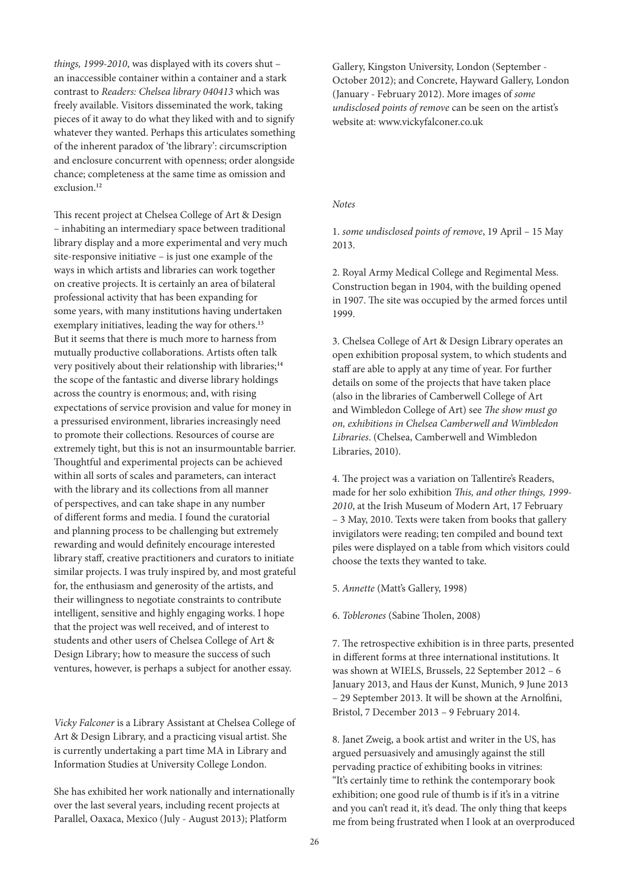things, 1999-2010, was displayed with its covers shut an inaccessible container within a container and a stark contrast to Readers: Chelsea library 040413 which was freely available. Visitors disseminated the work, taking pieces of it away to do what they liked with and to signify whatever they wanted. Perhaps this articulates something of the inherent paradox of 'the library': circumscription and enclosure concurrent with openness; order alongside chance; completeness at the same time as omission and exclusion.**<sup>12</sup>**

his recent project at Chelsea College of Art & Design – inhabiting an intermediary space between traditional library display and a more experimental and very much site-responsive initiative – is just one example of the ways in which artists and libraries can work together on creative projects. It is certainly an area of bilateral professional activity that has been expanding for some years, with many institutions having undertaken exemplary initiatives, leading the way for others.**<sup>13</sup>** But it seems that there is much more to harness from mutually productive collaborations. Artists oten talk very positively about their relationship with libraries;**<sup>14</sup>** the scope of the fantastic and diverse library holdings across the country is enormous; and, with rising expectations of service provision and value for money in a pressurised environment, libraries increasingly need to promote their collections. Resources of course are extremely tight, but this is not an insurmountable barrier. houghtful and experimental projects can be achieved within all sorts of scales and parameters, can interact with the library and its collections from all manner of perspectives, and can take shape in any number of diferent forms and media. I found the curatorial and planning process to be challenging but extremely rewarding and would definitely encourage interested library staf, creative practitioners and curators to initiate similar projects. I was truly inspired by, and most grateful for, the enthusiasm and generosity of the artists, and their willingness to negotiate constraints to contribute intelligent, sensitive and highly engaging works. I hope that the project was well received, and of interest to students and other users of Chelsea College of Art & Design Library; how to measure the success of such ventures, however, is perhaps a subject for another essay.

Vicky Falconer is a Library Assistant at Chelsea College of Art & Design Library, and a practicing visual artist. She is currently undertaking a part time MA in Library and Information Studies at University College London.

She has exhibited her work nationally and internationally over the last several years, including recent projects at Parallel, Oaxaca, Mexico (July - August 2013); Platform

Gallery, Kingston University, London (September - October 2012); and Concrete, Hayward Gallery, London (January - February 2012). More images of some undisclosed points of remove can be seen on the artist's website at: www.vickyfalconer.co.uk

### Notes

1. some undisclosed points of remove, 19 April – 15 May 2013.

2. Royal Army Medical College and Regimental Mess. Construction began in 1904, with the building opened in 1907. The site was occupied by the armed forces until 1999.

3. Chelsea College of Art & Design Library operates an open exhibition proposal system, to which students and staff are able to apply at any time of year. For further details on some of the projects that have taken place (also in the libraries of Camberwell College of Art and Wimbledon College of Art) see The show must go on, exhibitions in Chelsea Camberwell and Wimbledon Libraries. (Chelsea, Camberwell and Wimbledon Libraries, 2010).

4. The project was a variation on Tallentire's Readers, made for her solo exhibition This, and other things, 1999-2010, at the Irish Museum of Modern Art, 17 February – 3 May, 2010. Texts were taken from books that gallery invigilators were reading; ten compiled and bound text piles were displayed on a table from which visitors could choose the texts they wanted to take.

5. Annette (Matt's Gallery, 1998)

6. Toblerones (Sabine Tholen, 2008)

7. he retrospective exhibition is in three parts, presented in diferent forms at three international institutions. It was shown at WIELS, Brussels, 22 September 2012 – 6 January 2013, and Haus der Kunst, Munich, 9 June 2013 – 29 September 2013. It will be shown at the Arnolini, Bristol, 7 December 2013 – 9 February 2014.

8. Janet Zweig, a book artist and writer in the US, has argued persuasively and amusingly against the still pervading practice of exhibiting books in vitrines: "It's certainly time to rethink the contemporary book exhibition; one good rule of thumb is if it's in a vitrine and you can't read it, it's dead. The only thing that keeps me from being frustrated when I look at an overproduced